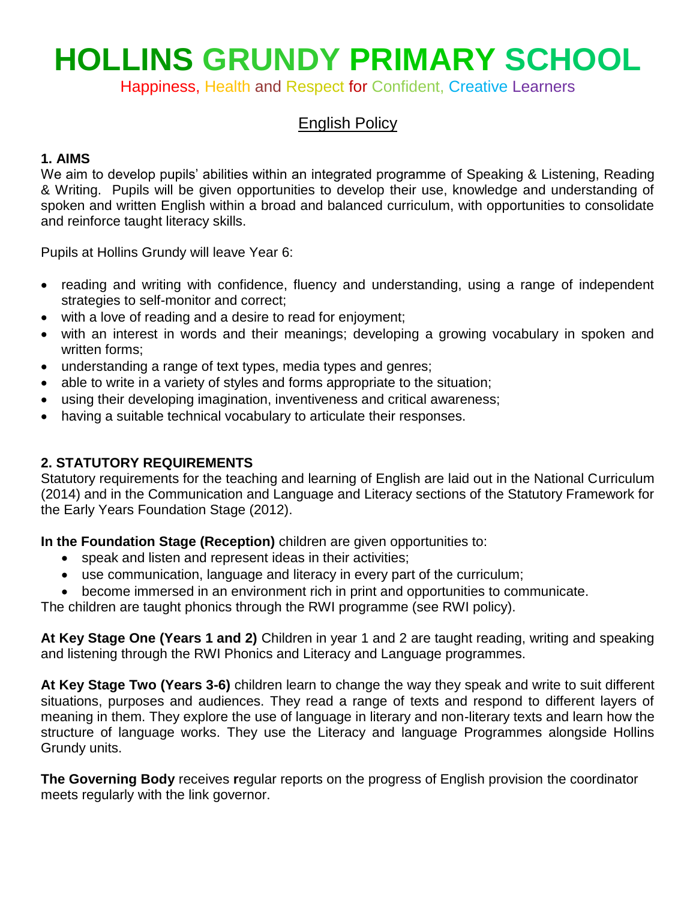# **HOLLINS GRUNDY PRIMARY SCHOOL**

Happiness, Health and Respect for Confident, Creative Learners

# English Policy

# **1. AIMS**

We aim to develop pupils' abilities within an integrated programme of Speaking & Listening, Reading & Writing. Pupils will be given opportunities to develop their use, knowledge and understanding of spoken and written English within a broad and balanced curriculum, with opportunities to consolidate and reinforce taught literacy skills.

Pupils at Hollins Grundy will leave Year 6:

- reading and writing with confidence, fluency and understanding, using a range of independent strategies to self-monitor and correct;
- with a love of reading and a desire to read for enjoyment;
- with an interest in words and their meanings; developing a growing vocabulary in spoken and written forms;
- understanding a range of text types, media types and genres;
- able to write in a variety of styles and forms appropriate to the situation;
- using their developing imagination, inventiveness and critical awareness;
- having a suitable technical vocabulary to articulate their responses.

# **2. STATUTORY REQUIREMENTS**

Statutory requirements for the teaching and learning of English are laid out in the National Curriculum (2014) and in the Communication and Language and Literacy sections of the Statutory Framework for the Early Years Foundation Stage (2012).

**In the Foundation Stage (Reception)** children are given opportunities to:

- speak and listen and represent ideas in their activities;
- use communication, language and literacy in every part of the curriculum;
- become immersed in an environment rich in print and opportunities to communicate.

The children are taught phonics through the RWI programme (see RWI policy).

**At Key Stage One (Years 1 and 2)** Children in year 1 and 2 are taught reading, writing and speaking and listening through the RWI Phonics and Literacy and Language programmes.

**At Key Stage Two (Years 3-6)** children learn to change the way they speak and write to suit different situations, purposes and audiences. They read a range of texts and respond to different layers of meaning in them. They explore the use of language in literary and non-literary texts and learn how the structure of language works. They use the Literacy and language Programmes alongside Hollins Grundy units.

**The Governing Body** receives **r**egular reports on the progress of English provision the coordinator meets regularly with the link governor.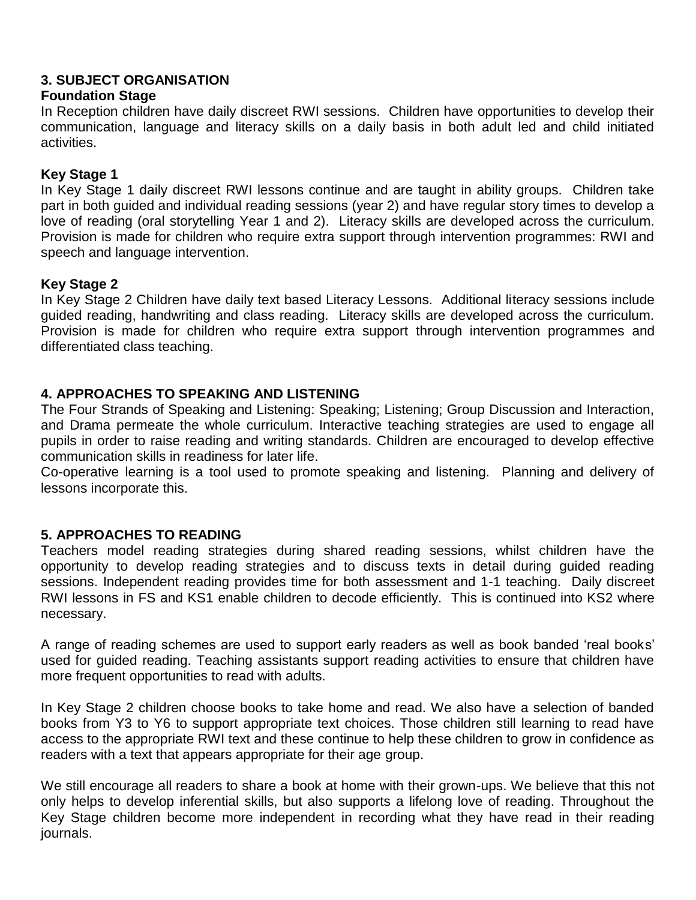# **3. SUBJECT ORGANISATION**

# **Foundation Stage**

In Reception children have daily discreet RWI sessions. Children have opportunities to develop their communication, language and literacy skills on a daily basis in both adult led and child initiated activities.

# **Key Stage 1**

In Key Stage 1 daily discreet RWI lessons continue and are taught in ability groups. Children take part in both guided and individual reading sessions (year 2) and have regular story times to develop a love of reading (oral storytelling Year 1 and 2). Literacy skills are developed across the curriculum. Provision is made for children who require extra support through intervention programmes: RWI and speech and language intervention.

# **Key Stage 2**

In Key Stage 2 Children have daily text based Literacy Lessons. Additional literacy sessions include guided reading, handwriting and class reading. Literacy skills are developed across the curriculum. Provision is made for children who require extra support through intervention programmes and differentiated class teaching.

# **4. APPROACHES TO SPEAKING AND LISTENING**

The Four Strands of Speaking and Listening: Speaking; Listening; Group Discussion and Interaction, and Drama permeate the whole curriculum. Interactive teaching strategies are used to engage all pupils in order to raise reading and writing standards. Children are encouraged to develop effective communication skills in readiness for later life.

Co-operative learning is a tool used to promote speaking and listening. Planning and delivery of lessons incorporate this.

# **5. APPROACHES TO READING**

Teachers model reading strategies during shared reading sessions, whilst children have the opportunity to develop reading strategies and to discuss texts in detail during guided reading sessions. Independent reading provides time for both assessment and 1-1 teaching. Daily discreet RWI lessons in FS and KS1 enable children to decode efficiently. This is continued into KS2 where necessary.

A range of reading schemes are used to support early readers as well as book banded 'real books' used for guided reading. Teaching assistants support reading activities to ensure that children have more frequent opportunities to read with adults.

In Key Stage 2 children choose books to take home and read. We also have a selection of banded books from Y3 to Y6 to support appropriate text choices. Those children still learning to read have access to the appropriate RWI text and these continue to help these children to grow in confidence as readers with a text that appears appropriate for their age group.

We still encourage all readers to share a book at home with their grown-ups. We believe that this not only helps to develop inferential skills, but also supports a lifelong love of reading. Throughout the Key Stage children become more independent in recording what they have read in their reading journals.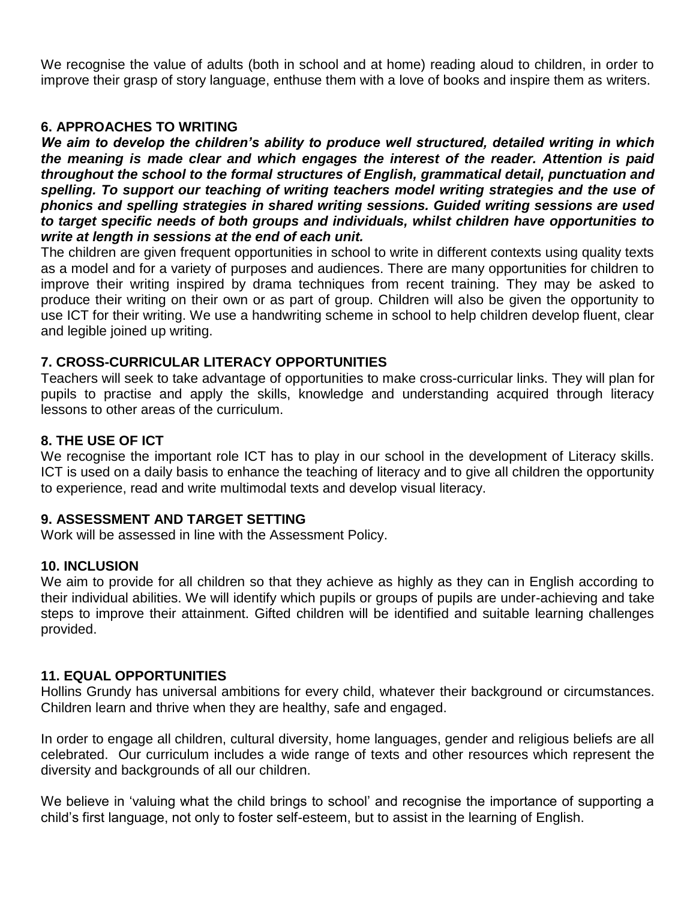We recognise the value of adults (both in school and at home) reading aloud to children, in order to improve their grasp of story language, enthuse them with a love of books and inspire them as writers.

#### **6. APPROACHES TO WRITING**

*We aim to develop the children's ability to produce well structured, detailed writing in which the meaning is made clear and which engages the interest of the reader. Attention is paid throughout the school to the formal structures of English, grammatical detail, punctuation and spelling. To support our teaching of writing teachers model writing strategies and the use of phonics and spelling strategies in shared writing sessions. Guided writing sessions are used to target specific needs of both groups and individuals, whilst children have opportunities to write at length in sessions at the end of each unit.*

The children are given frequent opportunities in school to write in different contexts using quality texts as a model and for a variety of purposes and audiences. There are many opportunities for children to improve their writing inspired by drama techniques from recent training. They may be asked to produce their writing on their own or as part of group. Children will also be given the opportunity to use ICT for their writing. We use a handwriting scheme in school to help children develop fluent, clear and legible joined up writing.

# **7. CROSS-CURRICULAR LITERACY OPPORTUNITIES**

Teachers will seek to take advantage of opportunities to make cross-curricular links. They will plan for pupils to practise and apply the skills, knowledge and understanding acquired through literacy lessons to other areas of the curriculum.

# **8. THE USE OF ICT**

We recognise the important role ICT has to play in our school in the development of Literacy skills. ICT is used on a daily basis to enhance the teaching of literacy and to give all children the opportunity to experience, read and write multimodal texts and develop visual literacy.

#### **9. ASSESSMENT AND TARGET SETTING**

Work will be assessed in line with the Assessment Policy.

#### **10. INCLUSION**

We aim to provide for all children so that they achieve as highly as they can in English according to their individual abilities. We will identify which pupils or groups of pupils are under-achieving and take steps to improve their attainment. Gifted children will be identified and suitable learning challenges provided.

#### **11. EQUAL OPPORTUNITIES**

Hollins Grundy has universal ambitions for every child, whatever their background or circumstances. Children learn and thrive when they are healthy, safe and engaged.

In order to engage all children, cultural diversity, home languages, gender and religious beliefs are all celebrated. Our curriculum includes a wide range of texts and other resources which represent the diversity and backgrounds of all our children.

We believe in 'valuing what the child brings to school' and recognise the importance of supporting a child's first language, not only to foster self-esteem, but to assist in the learning of English.